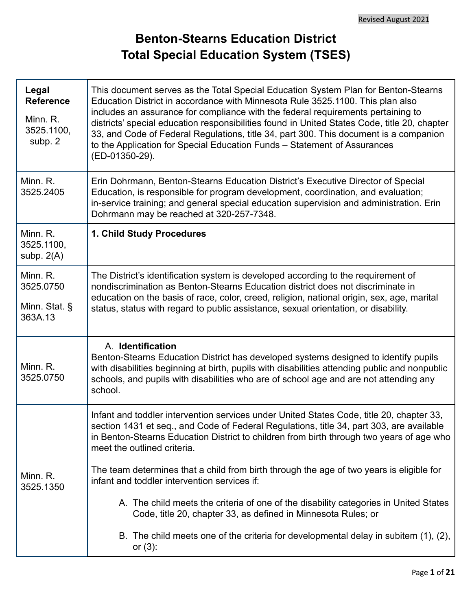## **Benton-Stearns Education District Total Special Education System (TSES)**

| Legal<br><b>Reference</b><br>Minn. R.<br>3525.1100,<br>subp. 2 | This document serves as the Total Special Education System Plan for Benton-Stearns<br>Education District in accordance with Minnesota Rule 3525.1100. This plan also<br>includes an assurance for compliance with the federal requirements pertaining to<br>districts' special education responsibilities found in United States Code, title 20, chapter<br>33, and Code of Federal Regulations, title 34, part 300. This document is a companion<br>to the Application for Special Education Funds - Statement of Assurances<br>(ED-01350-29). |  |  |  |  |
|----------------------------------------------------------------|-------------------------------------------------------------------------------------------------------------------------------------------------------------------------------------------------------------------------------------------------------------------------------------------------------------------------------------------------------------------------------------------------------------------------------------------------------------------------------------------------------------------------------------------------|--|--|--|--|
| Minn. R.<br>3525.2405                                          | Erin Dohrmann, Benton-Stearns Education District's Executive Director of Special<br>Education, is responsible for program development, coordination, and evaluation;<br>in-service training; and general special education supervision and administration. Erin<br>Dohrmann may be reached at 320-257-7348.                                                                                                                                                                                                                                     |  |  |  |  |
| Minn. R.<br>3525.1100,<br>subp. $2(A)$                         | 1. Child Study Procedures                                                                                                                                                                                                                                                                                                                                                                                                                                                                                                                       |  |  |  |  |
| Minn. R.<br>3525.0750                                          | The District's identification system is developed according to the requirement of<br>nondiscrimination as Benton-Stearns Education district does not discriminate in                                                                                                                                                                                                                                                                                                                                                                            |  |  |  |  |
| Minn. Stat. §<br>363A.13                                       | education on the basis of race, color, creed, religion, national origin, sex, age, marital<br>status, status with regard to public assistance, sexual orientation, or disability.                                                                                                                                                                                                                                                                                                                                                               |  |  |  |  |
| Minn. R.<br>3525.0750                                          | A. Identification<br>Benton-Stearns Education District has developed systems designed to identify pupils<br>with disabilities beginning at birth, pupils with disabilities attending public and nonpublic<br>schools, and pupils with disabilities who are of school age and are not attending any<br>school.                                                                                                                                                                                                                                   |  |  |  |  |
|                                                                | Infant and toddler intervention services under United States Code, title 20, chapter 33,<br>section 1431 et seq., and Code of Federal Regulations, title 34, part 303, are available<br>in Benton-Stearns Education District to children from birth through two years of age who<br>meet the outlined criteria.                                                                                                                                                                                                                                 |  |  |  |  |
| Minn. R.<br>3525.1350                                          | The team determines that a child from birth through the age of two years is eligible for<br>infant and toddler intervention services if:                                                                                                                                                                                                                                                                                                                                                                                                        |  |  |  |  |
|                                                                | A. The child meets the criteria of one of the disability categories in United States<br>Code, title 20, chapter 33, as defined in Minnesota Rules; or                                                                                                                                                                                                                                                                                                                                                                                           |  |  |  |  |
|                                                                | B. The child meets one of the criteria for developmental delay in subitem (1), (2),<br>or $(3)$ :                                                                                                                                                                                                                                                                                                                                                                                                                                               |  |  |  |  |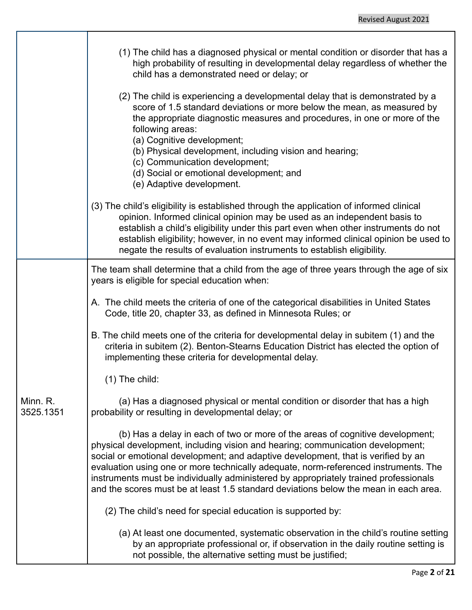|                       | (1) The child has a diagnosed physical or mental condition or disorder that has a<br>high probability of resulting in developmental delay regardless of whether the<br>child has a demonstrated need or delay; or                                                                                                                                                                                                                                                                                                           |
|-----------------------|-----------------------------------------------------------------------------------------------------------------------------------------------------------------------------------------------------------------------------------------------------------------------------------------------------------------------------------------------------------------------------------------------------------------------------------------------------------------------------------------------------------------------------|
|                       | (2) The child is experiencing a developmental delay that is demonstrated by a<br>score of 1.5 standard deviations or more below the mean, as measured by<br>the appropriate diagnostic measures and procedures, in one or more of the<br>following areas:<br>(a) Cognitive development;<br>(b) Physical development, including vision and hearing;<br>(c) Communication development;<br>(d) Social or emotional development; and<br>(e) Adaptive development.                                                               |
|                       | (3) The child's eligibility is established through the application of informed clinical<br>opinion. Informed clinical opinion may be used as an independent basis to<br>establish a child's eligibility under this part even when other instruments do not<br>establish eligibility; however, in no event may informed clinical opinion be used to<br>negate the results of evaluation instruments to establish eligibility.                                                                                                |
|                       | The team shall determine that a child from the age of three years through the age of six<br>years is eligible for special education when:                                                                                                                                                                                                                                                                                                                                                                                   |
|                       | A. The child meets the criteria of one of the categorical disabilities in United States<br>Code, title 20, chapter 33, as defined in Minnesota Rules; or                                                                                                                                                                                                                                                                                                                                                                    |
|                       | B. The child meets one of the criteria for developmental delay in subitem (1) and the<br>criteria in subitem (2). Benton-Stearns Education District has elected the option of<br>implementing these criteria for developmental delay.                                                                                                                                                                                                                                                                                       |
|                       | $(1)$ The child:                                                                                                                                                                                                                                                                                                                                                                                                                                                                                                            |
| Minn. R.<br>3525.1351 | (a) Has a diagnosed physical or mental condition or disorder that has a high<br>probability or resulting in developmental delay; or                                                                                                                                                                                                                                                                                                                                                                                         |
|                       | (b) Has a delay in each of two or more of the areas of cognitive development;<br>physical development, including vision and hearing; communication development;<br>social or emotional development; and adaptive development, that is verified by an<br>evaluation using one or more technically adequate, norm-referenced instruments. The<br>instruments must be individually administered by appropriately trained professionals<br>and the scores must be at least 1.5 standard deviations below the mean in each area. |
|                       | (2) The child's need for special education is supported by:                                                                                                                                                                                                                                                                                                                                                                                                                                                                 |
|                       | (a) At least one documented, systematic observation in the child's routine setting<br>by an appropriate professional or, if observation in the daily routine setting is<br>not possible, the alternative setting must be justified;                                                                                                                                                                                                                                                                                         |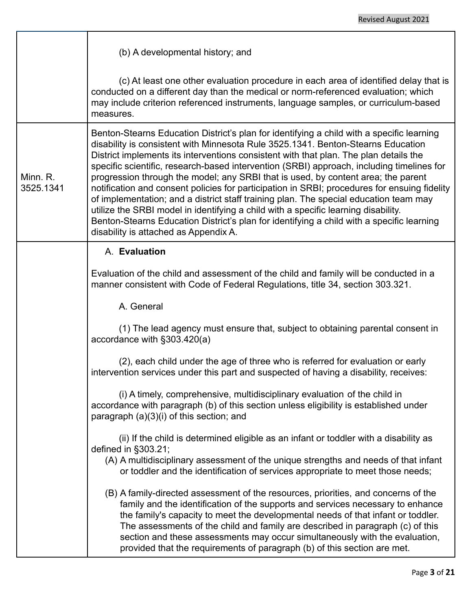|                       | (b) A developmental history; and                                                                                                                                                                                                                                                                                                                                                                                                                                                                                                                                                                                                                                                                                                                                                                                                                                              |  |  |  |  |
|-----------------------|-------------------------------------------------------------------------------------------------------------------------------------------------------------------------------------------------------------------------------------------------------------------------------------------------------------------------------------------------------------------------------------------------------------------------------------------------------------------------------------------------------------------------------------------------------------------------------------------------------------------------------------------------------------------------------------------------------------------------------------------------------------------------------------------------------------------------------------------------------------------------------|--|--|--|--|
|                       | (c) At least one other evaluation procedure in each area of identified delay that is<br>conducted on a different day than the medical or norm-referenced evaluation; which<br>may include criterion referenced instruments, language samples, or curriculum-based<br>measures.                                                                                                                                                                                                                                                                                                                                                                                                                                                                                                                                                                                                |  |  |  |  |
| Minn. R.<br>3525.1341 | Benton-Stearns Education District's plan for identifying a child with a specific learning<br>disability is consistent with Minnesota Rule 3525.1341. Benton-Stearns Education<br>District implements its interventions consistent with that plan. The plan details the<br>specific scientific, research-based intervention (SRBI) approach, including timelines for<br>progression through the model; any SRBI that is used, by content area; the parent<br>notification and consent policies for participation in SRBI; procedures for ensuing fidelity<br>of implementation; and a district staff training plan. The special education team may<br>utilize the SRBI model in identifying a child with a specific learning disability.<br>Benton-Stearns Education District's plan for identifying a child with a specific learning<br>disability is attached as Appendix A. |  |  |  |  |
|                       | A. Evaluation                                                                                                                                                                                                                                                                                                                                                                                                                                                                                                                                                                                                                                                                                                                                                                                                                                                                 |  |  |  |  |
|                       | Evaluation of the child and assessment of the child and family will be conducted in a<br>manner consistent with Code of Federal Regulations, title 34, section 303.321.                                                                                                                                                                                                                                                                                                                                                                                                                                                                                                                                                                                                                                                                                                       |  |  |  |  |
|                       | A. General                                                                                                                                                                                                                                                                                                                                                                                                                                                                                                                                                                                                                                                                                                                                                                                                                                                                    |  |  |  |  |
|                       | (1) The lead agency must ensure that, subject to obtaining parental consent in<br>accordance with §303.420(a)                                                                                                                                                                                                                                                                                                                                                                                                                                                                                                                                                                                                                                                                                                                                                                 |  |  |  |  |
|                       | (2), each child under the age of three who is referred for evaluation or early<br>intervention services under this part and suspected of having a disability, receives:                                                                                                                                                                                                                                                                                                                                                                                                                                                                                                                                                                                                                                                                                                       |  |  |  |  |
|                       | (i) A timely, comprehensive, multidisciplinary evaluation of the child in<br>accordance with paragraph (b) of this section unless eligibility is established under<br>paragraph (a)(3)(i) of this section; and                                                                                                                                                                                                                                                                                                                                                                                                                                                                                                                                                                                                                                                                |  |  |  |  |
|                       | (ii) If the child is determined eligible as an infant or toddler with a disability as<br>defined in §303.21;<br>(A) A multidisciplinary assessment of the unique strengths and needs of that infant<br>or toddler and the identification of services appropriate to meet those needs;                                                                                                                                                                                                                                                                                                                                                                                                                                                                                                                                                                                         |  |  |  |  |
|                       | (B) A family-directed assessment of the resources, priorities, and concerns of the<br>family and the identification of the supports and services necessary to enhance<br>the family's capacity to meet the developmental needs of that infant or toddler.<br>The assessments of the child and family are described in paragraph (c) of this<br>section and these assessments may occur simultaneously with the evaluation,<br>provided that the requirements of paragraph (b) of this section are met.                                                                                                                                                                                                                                                                                                                                                                        |  |  |  |  |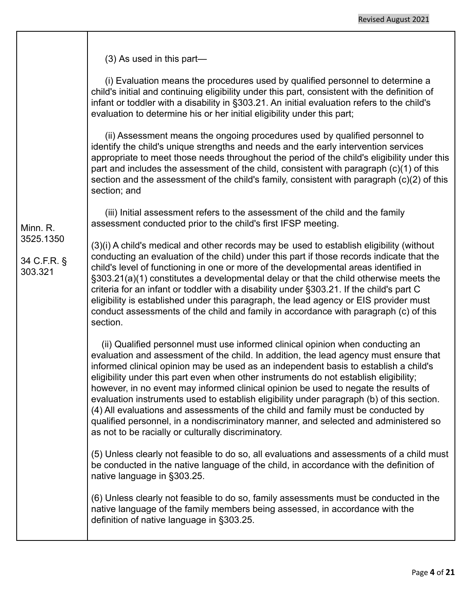(3) As used in this part—

(i) Evaluation means the procedures used by qualified personnel to determine a child's initial and continuing eligibility under this part, consistent with the definition of infant or toddler with a disability in §303.21. An initial evaluation refers to the child's evaluation to determine his or her initial eligibility under this part;

(ii) Assessment means the ongoing procedures used by qualified personnel to identify the child's unique strengths and needs and the early intervention services appropriate to meet those needs throughout the period of the child's eligibility under this part and includes the assessment of the child, consistent with paragraph (c)(1) of this section and the assessment of the child's family, consistent with paragraph (c)(2) of this section; and

(iii) Initial assessment refers to the assessment of the child and the family assessment conducted prior to the child's first IFSP meeting.

Minn. R. 3525.1350

34 C.F.R. § 303.321

(3)(i) A child's medical and other records may be used to establish eligibility (without conducting an evaluation of the child) under this part if those records indicate that the child's level of functioning in one or more of the developmental areas identified in §303.21(a)(1) constitutes a developmental delay or that the child otherwise meets the criteria for an infant or toddler with a disability under §303.21. If the child's part C eligibility is established under this paragraph, the lead agency or EIS provider must conduct assessments of the child and family in accordance with paragraph (c) of this section.

(ii) Qualified personnel must use informed clinical opinion when conducting an evaluation and assessment of the child. In addition, the lead agency must ensure that informed clinical opinion may be used as an independent basis to establish a child's eligibility under this part even when other instruments do not establish eligibility; however, in no event may informed clinical opinion be used to negate the results of evaluation instruments used to establish eligibility under paragraph (b) of this section. (4) All evaluations and assessments of the child and family must be conducted by qualified personnel, in a nondiscriminatory manner, and selected and administered so as not to be racially or culturally discriminatory.

(5) Unless clearly not feasible to do so, all evaluations and assessments of a child must be conducted in the native language of the child, in accordance with the definition of native language in §303.25.

(6) Unless clearly not feasible to do so, family assessments must be conducted in the native language of the family members being assessed, in accordance with the definition of native language in §303.25.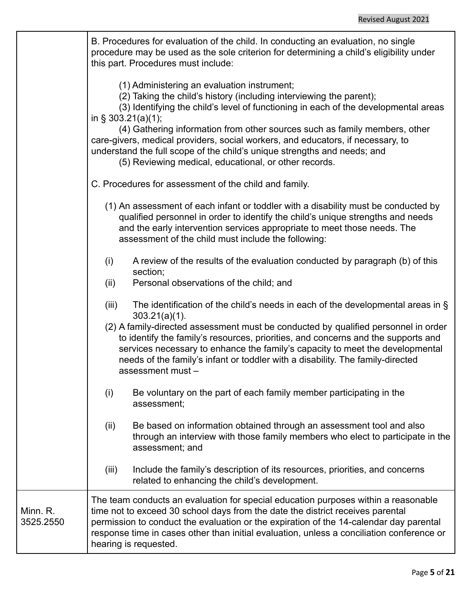|                       | B. Procedures for evaluation of the child. In conducting an evaluation, no single<br>procedure may be used as the sole criterion for determining a child's eligibility under<br>this part. Procedures must include:                                                                                                                                                                                 |
|-----------------------|-----------------------------------------------------------------------------------------------------------------------------------------------------------------------------------------------------------------------------------------------------------------------------------------------------------------------------------------------------------------------------------------------------|
|                       | (1) Administering an evaluation instrument;<br>(2) Taking the child's history (including interviewing the parent);<br>(3) Identifying the child's level of functioning in each of the developmental areas<br>in $\S$ 303.21(a)(1);<br>(4) Gathering information from other sources such as family members, other<br>care-givers, medical providers, social workers, and educators, if necessary, to |
|                       | understand the full scope of the child's unique strengths and needs; and<br>(5) Reviewing medical, educational, or other records.                                                                                                                                                                                                                                                                   |
|                       | C. Procedures for assessment of the child and family.                                                                                                                                                                                                                                                                                                                                               |
|                       | (1) An assessment of each infant or toddler with a disability must be conducted by<br>qualified personnel in order to identify the child's unique strengths and needs<br>and the early intervention services appropriate to meet those needs. The<br>assessment of the child must include the following:                                                                                            |
|                       | A review of the results of the evaluation conducted by paragraph (b) of this<br>(i)<br>section;                                                                                                                                                                                                                                                                                                     |
|                       | Personal observations of the child; and<br>(ii)                                                                                                                                                                                                                                                                                                                                                     |
|                       | The identification of the child's needs in each of the developmental areas in $\S$<br>(iii)<br>$303.21(a)(1)$ .                                                                                                                                                                                                                                                                                     |
|                       | (2) A family-directed assessment must be conducted by qualified personnel in order<br>to identify the family's resources, priorities, and concerns and the supports and<br>services necessary to enhance the family's capacity to meet the developmental<br>needs of the family's infant or toddler with a disability. The family-directed<br>assessment must -                                     |
|                       | Be voluntary on the part of each family member participating in the<br>(i)<br>assessment;                                                                                                                                                                                                                                                                                                           |
|                       | (ii)<br>Be based on information obtained through an assessment tool and also<br>through an interview with those family members who elect to participate in the<br>assessment; and                                                                                                                                                                                                                   |
|                       | (iii)<br>Include the family's description of its resources, priorities, and concerns<br>related to enhancing the child's development.                                                                                                                                                                                                                                                               |
| Minn. R.<br>3525.2550 | The team conducts an evaluation for special education purposes within a reasonable<br>time not to exceed 30 school days from the date the district receives parental<br>permission to conduct the evaluation or the expiration of the 14-calendar day parental<br>response time in cases other than initial evaluation, unless a conciliation conference or<br>hearing is requested.                |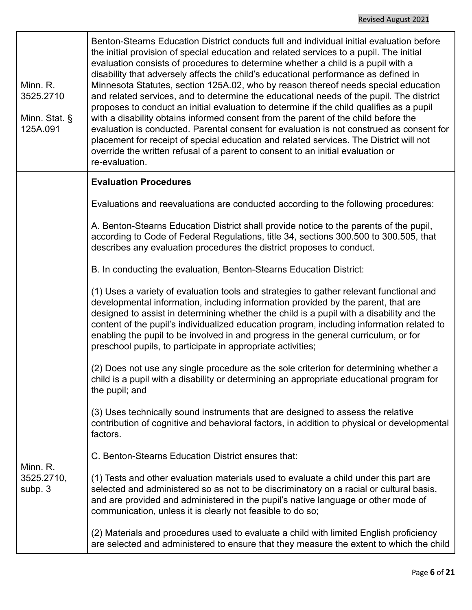| Minn. R.<br>3525.2710<br>Minn. Stat. §<br>125A.091 | Benton-Stearns Education District conducts full and individual initial evaluation before<br>the initial provision of special education and related services to a pupil. The initial<br>evaluation consists of procedures to determine whether a child is a pupil with a<br>disability that adversely affects the child's educational performance as defined in<br>Minnesota Statutes, section 125A.02, who by reason thereof needs special education<br>and related services, and to determine the educational needs of the pupil. The district<br>proposes to conduct an initial evaluation to determine if the child qualifies as a pupil<br>with a disability obtains informed consent from the parent of the child before the<br>evaluation is conducted. Parental consent for evaluation is not construed as consent for<br>placement for receipt of special education and related services. The District will not<br>override the written refusal of a parent to consent to an initial evaluation or<br>re-evaluation. |
|----------------------------------------------------|------------------------------------------------------------------------------------------------------------------------------------------------------------------------------------------------------------------------------------------------------------------------------------------------------------------------------------------------------------------------------------------------------------------------------------------------------------------------------------------------------------------------------------------------------------------------------------------------------------------------------------------------------------------------------------------------------------------------------------------------------------------------------------------------------------------------------------------------------------------------------------------------------------------------------------------------------------------------------------------------------------------------------|
|                                                    | <b>Evaluation Procedures</b>                                                                                                                                                                                                                                                                                                                                                                                                                                                                                                                                                                                                                                                                                                                                                                                                                                                                                                                                                                                                 |
|                                                    | Evaluations and reevaluations are conducted according to the following procedures:                                                                                                                                                                                                                                                                                                                                                                                                                                                                                                                                                                                                                                                                                                                                                                                                                                                                                                                                           |
|                                                    | A. Benton-Stearns Education District shall provide notice to the parents of the pupil,<br>according to Code of Federal Regulations, title 34, sections 300.500 to 300.505, that<br>describes any evaluation procedures the district proposes to conduct.                                                                                                                                                                                                                                                                                                                                                                                                                                                                                                                                                                                                                                                                                                                                                                     |
|                                                    | B. In conducting the evaluation, Benton-Stearns Education District:                                                                                                                                                                                                                                                                                                                                                                                                                                                                                                                                                                                                                                                                                                                                                                                                                                                                                                                                                          |
|                                                    | (1) Uses a variety of evaluation tools and strategies to gather relevant functional and<br>developmental information, including information provided by the parent, that are<br>designed to assist in determining whether the child is a pupil with a disability and the<br>content of the pupil's individualized education program, including information related to<br>enabling the pupil to be involved in and progress in the general curriculum, or for<br>preschool pupils, to participate in appropriate activities;                                                                                                                                                                                                                                                                                                                                                                                                                                                                                                  |
|                                                    | (2) Does not use any single procedure as the sole criterion for determining whether a<br>child is a pupil with a disability or determining an appropriate educational program for<br>the pupil; and                                                                                                                                                                                                                                                                                                                                                                                                                                                                                                                                                                                                                                                                                                                                                                                                                          |
| Minn. R.<br>3525.2710,<br>subp. 3                  | (3) Uses technically sound instruments that are designed to assess the relative<br>contribution of cognitive and behavioral factors, in addition to physical or developmental<br>factors.                                                                                                                                                                                                                                                                                                                                                                                                                                                                                                                                                                                                                                                                                                                                                                                                                                    |
|                                                    | C. Benton-Stearns Education District ensures that:                                                                                                                                                                                                                                                                                                                                                                                                                                                                                                                                                                                                                                                                                                                                                                                                                                                                                                                                                                           |
|                                                    | (1) Tests and other evaluation materials used to evaluate a child under this part are<br>selected and administered so as not to be discriminatory on a racial or cultural basis,<br>and are provided and administered in the pupil's native language or other mode of<br>communication, unless it is clearly not feasible to do so;                                                                                                                                                                                                                                                                                                                                                                                                                                                                                                                                                                                                                                                                                          |
|                                                    | (2) Materials and procedures used to evaluate a child with limited English proficiency<br>are selected and administered to ensure that they measure the extent to which the child                                                                                                                                                                                                                                                                                                                                                                                                                                                                                                                                                                                                                                                                                                                                                                                                                                            |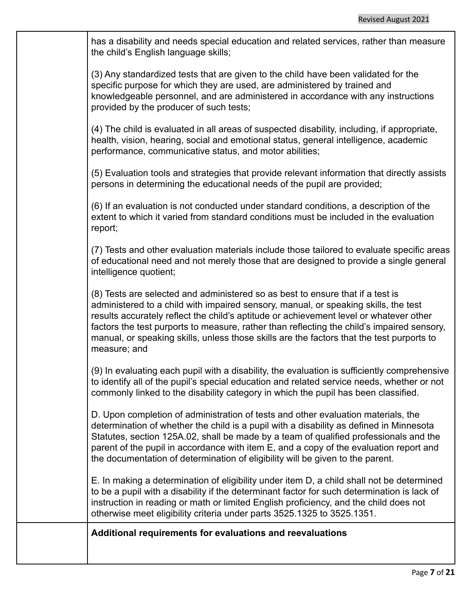has a disability and needs special education and related services, rather than measure the child's English language skills;

(3) Any standardized tests that are given to the child have been validated for the specific purpose for which they are used, are administered by trained and knowledgeable personnel, and are administered in accordance with any instructions provided by the producer of such tests;

(4) The child is evaluated in all areas of suspected disability, including, if appropriate, health, vision, hearing, social and emotional status, general intelligence, academic performance, communicative status, and motor abilities;

(5) Evaluation tools and strategies that provide relevant information that directly assists persons in determining the educational needs of the pupil are provided;

(6) If an evaluation is not conducted under standard conditions, a description of the extent to which it varied from standard conditions must be included in the evaluation report;

(7) Tests and other evaluation materials include those tailored to evaluate specific areas of educational need and not merely those that are designed to provide a single general intelligence quotient;

(8) Tests are selected and administered so as best to ensure that if a test is administered to a child with impaired sensory, manual, or speaking skills, the test results accurately reflect the child's aptitude or achievement level or whatever other factors the test purports to measure, rather than reflecting the child's impaired sensory, manual, or speaking skills, unless those skills are the factors that the test purports to measure; and

(9) In evaluating each pupil with a disability, the evaluation is sufficiently comprehensive to identify all of the pupil's special education and related service needs, whether or not commonly linked to the disability category in which the pupil has been classified.

D. Upon completion of administration of tests and other evaluation materials, the determination of whether the child is a pupil with a disability as defined in Minnesota Statutes, section 125A.02, shall be made by a team of qualified professionals and the parent of the pupil in accordance with item E, and a copy of the evaluation report and the documentation of determination of eligibility will be given to the parent.

E. In making a determination of eligibility under item D, a child shall not be determined to be a pupil with a disability if the determinant factor for such determination is lack of instruction in reading or math or limited English proficiency, and the child does not otherwise meet eligibility criteria under parts 3525.1325 to 3525.1351.

**Additional requirements for evaluations and reevaluations**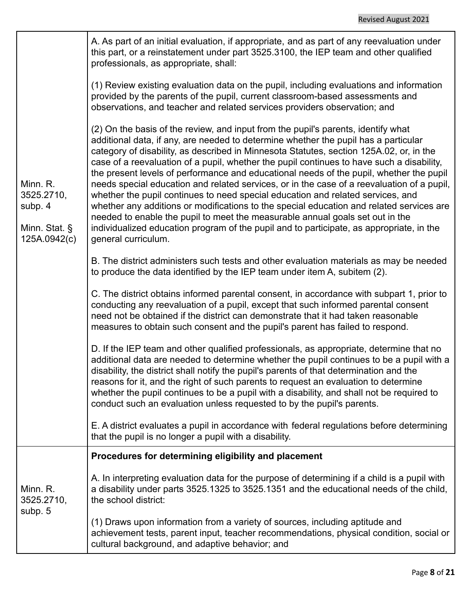|                                                                    | A. As part of an initial evaluation, if appropriate, and as part of any reevaluation under<br>this part, or a reinstatement under part 3525.3100, the IEP team and other qualified<br>professionals, as appropriate, shall:                                                                                                                                                                                                                                                                                                                                                                                                                                                                                                                                                                                                                                                                                                                  |
|--------------------------------------------------------------------|----------------------------------------------------------------------------------------------------------------------------------------------------------------------------------------------------------------------------------------------------------------------------------------------------------------------------------------------------------------------------------------------------------------------------------------------------------------------------------------------------------------------------------------------------------------------------------------------------------------------------------------------------------------------------------------------------------------------------------------------------------------------------------------------------------------------------------------------------------------------------------------------------------------------------------------------|
| Minn. R.<br>3525.2710,<br>subp. 4<br>Minn. Stat. §<br>125A.0942(c) | (1) Review existing evaluation data on the pupil, including evaluations and information<br>provided by the parents of the pupil, current classroom-based assessments and<br>observations, and teacher and related services providers observation; and                                                                                                                                                                                                                                                                                                                                                                                                                                                                                                                                                                                                                                                                                        |
|                                                                    | (2) On the basis of the review, and input from the pupil's parents, identify what<br>additional data, if any, are needed to determine whether the pupil has a particular<br>category of disability, as described in Minnesota Statutes, section 125A.02, or, in the<br>case of a reevaluation of a pupil, whether the pupil continues to have such a disability,<br>the present levels of performance and educational needs of the pupil, whether the pupil<br>needs special education and related services, or in the case of a reevaluation of a pupil,<br>whether the pupil continues to need special education and related services, and<br>whether any additions or modifications to the special education and related services are<br>needed to enable the pupil to meet the measurable annual goals set out in the<br>individualized education program of the pupil and to participate, as appropriate, in the<br>general curriculum. |
|                                                                    | B. The district administers such tests and other evaluation materials as may be needed<br>to produce the data identified by the IEP team under item A, subitem (2).                                                                                                                                                                                                                                                                                                                                                                                                                                                                                                                                                                                                                                                                                                                                                                          |
|                                                                    | C. The district obtains informed parental consent, in accordance with subpart 1, prior to<br>conducting any reevaluation of a pupil, except that such informed parental consent<br>need not be obtained if the district can demonstrate that it had taken reasonable<br>measures to obtain such consent and the pupil's parent has failed to respond.                                                                                                                                                                                                                                                                                                                                                                                                                                                                                                                                                                                        |
|                                                                    | D. If the IEP team and other qualified professionals, as appropriate, determine that no<br>additional data are needed to determine whether the pupil continues to be a pupil with a<br>disability, the district shall notify the pupil's parents of that determination and the<br>reasons for it, and the right of such parents to request an evaluation to determine<br>whether the pupil continues to be a pupil with a disability, and shall not be required to<br>conduct such an evaluation unless requested to by the pupil's parents.                                                                                                                                                                                                                                                                                                                                                                                                 |
|                                                                    | E. A district evaluates a pupil in accordance with federal regulations before determining<br>that the pupil is no longer a pupil with a disability.                                                                                                                                                                                                                                                                                                                                                                                                                                                                                                                                                                                                                                                                                                                                                                                          |
|                                                                    | Procedures for determining eligibility and placement                                                                                                                                                                                                                                                                                                                                                                                                                                                                                                                                                                                                                                                                                                                                                                                                                                                                                         |
| Minn. R.<br>3525.2710,                                             | A. In interpreting evaluation data for the purpose of determining if a child is a pupil with<br>a disability under parts 3525.1325 to 3525.1351 and the educational needs of the child,<br>the school district:                                                                                                                                                                                                                                                                                                                                                                                                                                                                                                                                                                                                                                                                                                                              |
| subp. 5                                                            | (1) Draws upon information from a variety of sources, including aptitude and<br>achievement tests, parent input, teacher recommendations, physical condition, social or<br>cultural background, and adaptive behavior; and                                                                                                                                                                                                                                                                                                                                                                                                                                                                                                                                                                                                                                                                                                                   |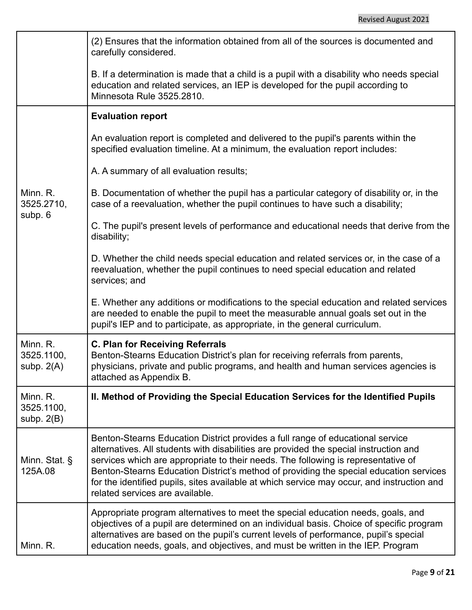|                                        | (2) Ensures that the information obtained from all of the sources is documented and<br>carefully considered.                                                                                                                                                                                                                                                                                                                                                                            |  |  |  |  |
|----------------------------------------|-----------------------------------------------------------------------------------------------------------------------------------------------------------------------------------------------------------------------------------------------------------------------------------------------------------------------------------------------------------------------------------------------------------------------------------------------------------------------------------------|--|--|--|--|
|                                        | B. If a determination is made that a child is a pupil with a disability who needs special<br>education and related services, an IEP is developed for the pupil according to<br>Minnesota Rule 3525.2810.                                                                                                                                                                                                                                                                                |  |  |  |  |
|                                        | <b>Evaluation report</b>                                                                                                                                                                                                                                                                                                                                                                                                                                                                |  |  |  |  |
|                                        | An evaluation report is completed and delivered to the pupil's parents within the<br>specified evaluation timeline. At a minimum, the evaluation report includes:                                                                                                                                                                                                                                                                                                                       |  |  |  |  |
|                                        | A. A summary of all evaluation results;                                                                                                                                                                                                                                                                                                                                                                                                                                                 |  |  |  |  |
| Minn. R.<br>3525.2710,<br>subp. 6      | B. Documentation of whether the pupil has a particular category of disability or, in the<br>case of a reevaluation, whether the pupil continues to have such a disability;                                                                                                                                                                                                                                                                                                              |  |  |  |  |
|                                        | C. The pupil's present levels of performance and educational needs that derive from the<br>disability;                                                                                                                                                                                                                                                                                                                                                                                  |  |  |  |  |
|                                        | D. Whether the child needs special education and related services or, in the case of a<br>reevaluation, whether the pupil continues to need special education and related<br>services; and                                                                                                                                                                                                                                                                                              |  |  |  |  |
|                                        | E. Whether any additions or modifications to the special education and related services<br>are needed to enable the pupil to meet the measurable annual goals set out in the<br>pupil's IEP and to participate, as appropriate, in the general curriculum.                                                                                                                                                                                                                              |  |  |  |  |
| Minn. R.<br>3525.1100,<br>subp. $2(A)$ | <b>C. Plan for Receiving Referrals</b><br>Benton-Stearns Education District's plan for receiving referrals from parents,<br>physicians, private and public programs, and health and human services agencies is<br>attached as Appendix B.                                                                                                                                                                                                                                               |  |  |  |  |
| Minn. R.<br>3525.1100,<br>subp. $2(B)$ | II. Method of Providing the Special Education Services for the Identified Pupils                                                                                                                                                                                                                                                                                                                                                                                                        |  |  |  |  |
| Minn. Stat. §<br>125A.08               | Benton-Stearns Education District provides a full range of educational service<br>alternatives. All students with disabilities are provided the special instruction and<br>services which are appropriate to their needs. The following is representative of<br>Benton-Stearns Education District's method of providing the special education services<br>for the identified pupils, sites available at which service may occur, and instruction and<br>related services are available. |  |  |  |  |
| Minn. R.                               | Appropriate program alternatives to meet the special education needs, goals, and<br>objectives of a pupil are determined on an individual basis. Choice of specific program<br>alternatives are based on the pupil's current levels of performance, pupil's special<br>education needs, goals, and objectives, and must be written in the IEP. Program                                                                                                                                  |  |  |  |  |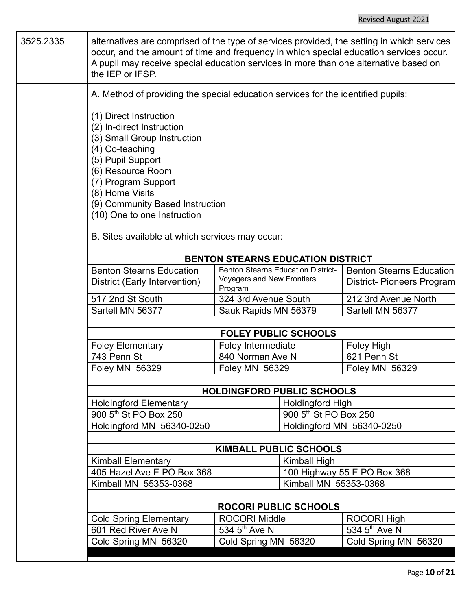| 3525.2335 | alternatives are comprised of the type of services provided, the setting in which services<br>occur, and the amount of time and frequency in which special education services occur.<br>A pupil may receive special education services in more than one alternative based on<br>the IEP or IFSP.               |                                           |                                          |                                 |  |
|-----------|----------------------------------------------------------------------------------------------------------------------------------------------------------------------------------------------------------------------------------------------------------------------------------------------------------------|-------------------------------------------|------------------------------------------|---------------------------------|--|
|           | A. Method of providing the special education services for the identified pupils:                                                                                                                                                                                                                               |                                           |                                          |                                 |  |
|           | (1) Direct Instruction<br>(2) In-direct Instruction<br>(3) Small Group Instruction<br>(4) Co-teaching<br>(5) Pupil Support<br>(6) Resource Room<br>(7) Program Support<br>(8) Home Visits<br>(9) Community Based Instruction<br>(10) One to one Instruction<br>B. Sites available at which services may occur: |                                           |                                          |                                 |  |
|           |                                                                                                                                                                                                                                                                                                                |                                           | <b>BENTON STEARNS EDUCATION DISTRICT</b> |                                 |  |
|           | <b>Benton Stearns Education</b>                                                                                                                                                                                                                                                                                | <b>Benton Stearns Education District-</b> |                                          | <b>Benton Stearns Education</b> |  |
|           | District (Early Intervention)                                                                                                                                                                                                                                                                                  | Voyagers and New Frontiers<br>Program     |                                          | District- Pioneers Program      |  |
|           | 517 2nd St South                                                                                                                                                                                                                                                                                               | 324 3rd Avenue South                      |                                          | 212 3rd Avenue North            |  |
|           | Sartell MN 56377                                                                                                                                                                                                                                                                                               | Sauk Rapids MN 56379                      |                                          | Sartell MN 56377                |  |
|           |                                                                                                                                                                                                                                                                                                                | <b>FOLEY PUBLIC SCHOOLS</b>               |                                          |                                 |  |
|           | <b>Foley Elementary</b>                                                                                                                                                                                                                                                                                        | Foley Intermediate                        |                                          | Foley High                      |  |
|           | 743 Penn St                                                                                                                                                                                                                                                                                                    | 840 Norman Ave N                          |                                          | 621 Penn St                     |  |
|           | Foley MN 56329                                                                                                                                                                                                                                                                                                 | Foley MN 56329                            |                                          | Foley MN 56329                  |  |
|           |                                                                                                                                                                                                                                                                                                                |                                           | <b>HOLDINGFORD PUBLIC SCHOOLS</b>        |                                 |  |
|           | <b>Holdingford Elementary</b>                                                                                                                                                                                                                                                                                  |                                           | <b>Holdingford High</b>                  |                                 |  |
|           | 900 5 <sup>th</sup> St PO Box 250                                                                                                                                                                                                                                                                              |                                           | 900 5 <sup>th</sup> St PO Box 250        |                                 |  |
|           | Holdingford MN 56340-0250                                                                                                                                                                                                                                                                                      |                                           |                                          | Holdingford MN 56340-0250       |  |
|           |                                                                                                                                                                                                                                                                                                                |                                           | <b>KIMBALL PUBLIC SCHOOLS</b>            |                                 |  |
|           |                                                                                                                                                                                                                                                                                                                |                                           | Kimball High                             |                                 |  |
|           | <b>Kimball Elementary</b>                                                                                                                                                                                                                                                                                      |                                           | 100 Highway 55 E PO Box 368              |                                 |  |
|           | 405 Hazel Ave E PO Box 368<br>Kimball MN 55353-0368                                                                                                                                                                                                                                                            |                                           | Kimball MN 55353-0368                    |                                 |  |
|           |                                                                                                                                                                                                                                                                                                                |                                           |                                          |                                 |  |
|           |                                                                                                                                                                                                                                                                                                                |                                           | <b>ROCORI PUBLIC SCHOOLS</b>             |                                 |  |
|           | <b>Cold Spring Elementary</b>                                                                                                                                                                                                                                                                                  | <b>ROCORI Middle</b>                      |                                          | <b>ROCORI High</b>              |  |
|           | 534 5 <sup>th</sup> Ave N<br>534 5 <sup>th</sup> Ave N<br>601 Red River Ave N                                                                                                                                                                                                                                  |                                           |                                          |                                 |  |
|           | Cold Spring MN 56320                                                                                                                                                                                                                                                                                           | Cold Spring MN 56320                      |                                          | Cold Spring MN 56320            |  |
|           |                                                                                                                                                                                                                                                                                                                |                                           |                                          |                                 |  |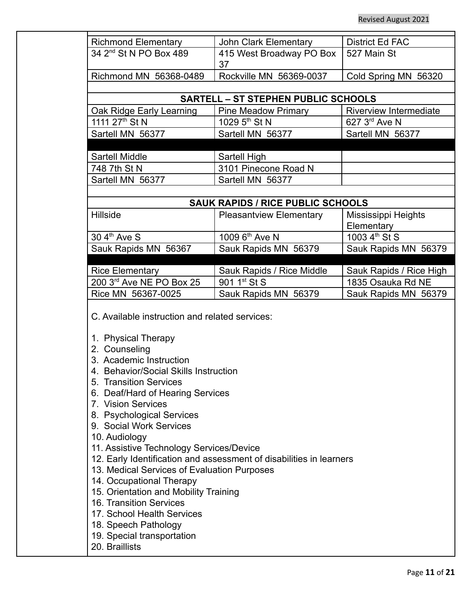| <b>Richmond Elementary</b>                                                                                                                                                                                               | John Clark Elementary                      | <b>District Ed FAC</b>            |  |
|--------------------------------------------------------------------------------------------------------------------------------------------------------------------------------------------------------------------------|--------------------------------------------|-----------------------------------|--|
| 34 2 <sup>nd</sup> St N PO Box 489                                                                                                                                                                                       | 415 West Broadway PO Box                   | 527 Main St                       |  |
|                                                                                                                                                                                                                          | 37                                         |                                   |  |
| Richmond MN 56368-0489                                                                                                                                                                                                   | Rockville MN 56369-0037                    | Cold Spring MN 56320              |  |
|                                                                                                                                                                                                                          | <b>SARTELL - ST STEPHEN PUBLIC SCHOOLS</b> |                                   |  |
| Oak Ridge Early Learning                                                                                                                                                                                                 | <b>Pine Meadow Primary</b>                 | <b>Riverview Intermediate</b>     |  |
| 1111 27 <sup>th</sup> St N                                                                                                                                                                                               | 1029 5 <sup>th</sup> St N                  | 627 3 <sup>rd</sup> Ave N         |  |
| Sartell MN 56377                                                                                                                                                                                                         | Sartell MN 56377                           | Sartell MN 56377                  |  |
|                                                                                                                                                                                                                          |                                            |                                   |  |
| Sartell Middle                                                                                                                                                                                                           | Sartell High                               |                                   |  |
| 748 7th St N                                                                                                                                                                                                             | 3101 Pinecone Road N                       |                                   |  |
| Sartell MN 56377                                                                                                                                                                                                         | Sartell MN 56377                           |                                   |  |
|                                                                                                                                                                                                                          |                                            |                                   |  |
|                                                                                                                                                                                                                          | <b>SAUK RAPIDS / RICE PUBLIC SCHOOLS</b>   |                                   |  |
| Hillside                                                                                                                                                                                                                 | <b>Pleasantview Elementary</b>             | Mississippi Heights<br>Elementary |  |
| 30 4 <sup>th</sup> Ave S                                                                                                                                                                                                 | 1009 6 <sup>th</sup> Ave N                 | 1003 4 <sup>th</sup> St S         |  |
| Sauk Rapids MN 56367                                                                                                                                                                                                     | Sauk Rapids MN 56379                       | Sauk Rapids MN 56379              |  |
|                                                                                                                                                                                                                          |                                            |                                   |  |
| <b>Rice Elementary</b>                                                                                                                                                                                                   | Sauk Rapids / Rice Middle                  | Sauk Rapids / Rice High           |  |
| 200 3rd Ave NE PO Box 25                                                                                                                                                                                                 | 901 1 <sup>st</sup> St S                   | 1835 Osauka Rd NE                 |  |
| Rice MN 56367-0025                                                                                                                                                                                                       | Sauk Rapids MN 56379                       | Sauk Rapids MN 56379              |  |
| C. Available instruction and related services:<br>1. Physical Therapy<br>2. Counseling<br>3. Academic Instruction<br>4. Behavior/Social Skills Instruction<br>5. Transition Services<br>6. Deaf/Hard of Hearing Services |                                            |                                   |  |
| 7. Vision Services<br>8. Psychological Services<br>9. Social Work Services                                                                                                                                               |                                            |                                   |  |
| 10. Audiology<br>11. Assistive Technology Services/Device                                                                                                                                                                |                                            |                                   |  |
| 12. Early Identification and assessment of disabilities in learners<br>13. Medical Services of Evaluation Purposes<br>14. Occupational Therapy                                                                           |                                            |                                   |  |
| 15. Orientation and Mobility Training<br><b>16. Transition Services</b>                                                                                                                                                  |                                            |                                   |  |
| 17. School Health Services<br>18. Speech Pathology                                                                                                                                                                       |                                            |                                   |  |
| 19. Special transportation<br>20. Braillists                                                                                                                                                                             |                                            |                                   |  |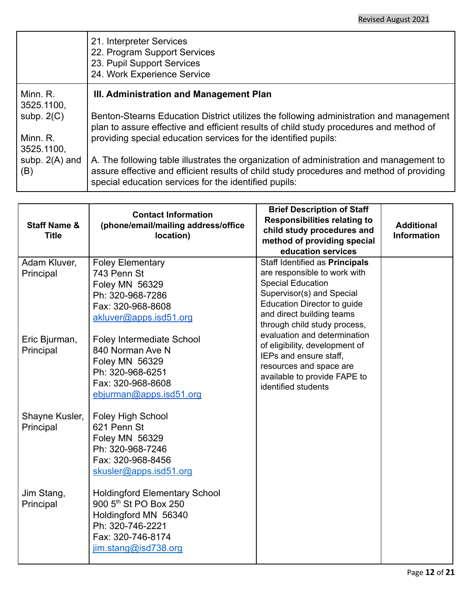|                                        | 21. Interpreter Services<br>22. Program Support Services<br>23. Pupil Support Services<br>24. Work Experience Service                                                                                                                               |
|----------------------------------------|-----------------------------------------------------------------------------------------------------------------------------------------------------------------------------------------------------------------------------------------------------|
| Minn. R.<br>3525.1100,                 | III. Administration and Management Plan                                                                                                                                                                                                             |
| subp. $2(C)$<br>Minn. R.<br>3525.1100, | Benton-Stearns Education District utilizes the following administration and management<br>plan to assure effective and efficient results of child study procedures and method of<br>providing special education services for the identified pupils: |
| subp. $2(A)$ and<br>(B)                | A. The following table illustrates the organization of administration and management to<br>assure effective and efficient results of child study procedures and method of providing<br>special education services for the identified pupils:        |

| <b>Staff Name &amp;</b><br><b>Title</b> | <b>Contact Information</b><br>(phone/email/mailing address/office<br>location)                                                                                     | <b>Brief Description of Staff</b><br><b>Responsibilities relating to</b><br>child study procedures and<br>method of providing special<br>education services                                                         | <b>Additional</b><br><b>Information</b> |
|-----------------------------------------|--------------------------------------------------------------------------------------------------------------------------------------------------------------------|---------------------------------------------------------------------------------------------------------------------------------------------------------------------------------------------------------------------|-----------------------------------------|
| Adam Kluver,<br>Principal               | <b>Foley Elementary</b><br>743 Penn St<br>Foley MN 56329<br>Ph: 320-968-7286<br>Fax: 320-968-8608<br>akluver@apps.isd51.org                                        | Staff Identified as Principals<br>are responsible to work with<br><b>Special Education</b><br>Supervisor(s) and Special<br>Education Director to guide<br>and direct building teams<br>through child study process, |                                         |
| Eric Bjurman,<br>Principal              | <b>Foley Intermediate School</b><br>840 Norman Ave N<br>Foley MN 56329<br>Ph: 320-968-6251<br>Fax: 320-968-8608<br>ebjurman@apps.isd51.org                         | evaluation and determination<br>of eligibility, development of<br>IEPs and ensure staff,<br>resources and space are<br>available to provide FAPE to<br>identified students                                          |                                         |
| Shayne Kusler,<br>Principal             | <b>Foley High School</b><br>621 Penn St<br>Foley MN 56329<br>Ph: 320-968-7246<br>Fax: 320-968-8456<br>skusler@apps.isd51.org                                       |                                                                                                                                                                                                                     |                                         |
| Jim Stang,<br>Principal                 | <b>Holdingford Elementary School</b><br>900 5 <sup>th</sup> St PO Box 250<br>Holdingford MN 56340<br>Ph: 320-746-2221<br>Fax: 320-746-8174<br>jim.stang@isd738.org |                                                                                                                                                                                                                     |                                         |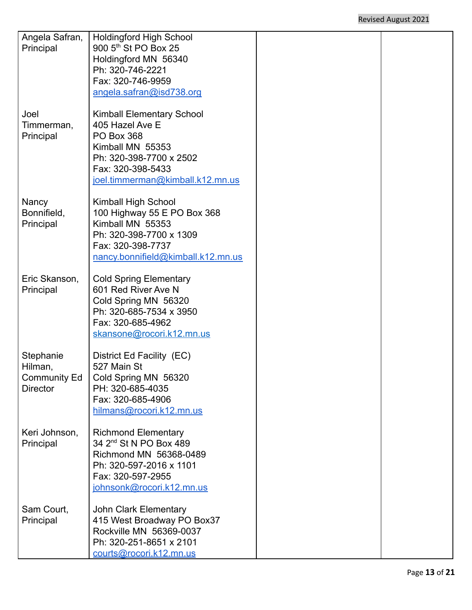| Angela Safran,  | <b>Holdingford High School</b>                                   |  |
|-----------------|------------------------------------------------------------------|--|
| Principal       | 900 5 <sup>th</sup> St PO Box 25<br>Holdingford MN 56340         |  |
|                 | Ph: 320-746-2221                                                 |  |
|                 | Fax: 320-746-9959                                                |  |
|                 | angela.safran@isd738.org                                         |  |
|                 |                                                                  |  |
| Joel            | <b>Kimball Elementary School</b>                                 |  |
| Timmerman,      | 405 Hazel Ave E                                                  |  |
| Principal       | <b>PO Box 368</b>                                                |  |
|                 | Kimball MN 55353                                                 |  |
|                 | Ph: 320-398-7700 x 2502<br>Fax: 320-398-5433                     |  |
|                 | joel.timmerman@kimball.k12.mn.us                                 |  |
|                 |                                                                  |  |
| Nancy           | Kimball High School                                              |  |
| Bonnifield,     | 100 Highway 55 E PO Box 368                                      |  |
| Principal       | Kimball MN 55353                                                 |  |
|                 | Ph: 320-398-7700 x 1309                                          |  |
|                 | Fax: 320-398-7737                                                |  |
|                 | nancy.bonnifield@kimball.k12.mn.us                               |  |
| Eric Skanson,   | <b>Cold Spring Elementary</b>                                    |  |
| Principal       | 601 Red River Ave N                                              |  |
|                 | Cold Spring MN 56320                                             |  |
|                 | Ph: 320-685-7534 x 3950                                          |  |
|                 | Fax: 320-685-4962                                                |  |
|                 | skansone@rocori.k12.mn.us                                        |  |
| Stephanie       | District Ed Facility (EC)                                        |  |
| Hilman,         | 527 Main St                                                      |  |
| Community Ed    | Cold Spring MN 56320                                             |  |
| <b>Director</b> | PH: 320-685-4035                                                 |  |
|                 | Fax: 320-685-4906                                                |  |
|                 | hilmans@rocori.k12.mn.us                                         |  |
|                 |                                                                  |  |
| Keri Johnson,   | <b>Richmond Elementary</b><br>34 2 <sup>nd</sup> St N PO Box 489 |  |
| Principal       | Richmond MN 56368-0489                                           |  |
|                 | Ph: 320-597-2016 x 1101                                          |  |
|                 | Fax: 320-597-2955                                                |  |
|                 | johnsonk@rocori.k12.mn.us                                        |  |
|                 |                                                                  |  |
| Sam Court,      | <b>John Clark Elementary</b>                                     |  |
| Principal       | 415 West Broadway PO Box37                                       |  |
|                 | Rockville MN 56369-0037<br>Ph: 320-251-8651 x 2101               |  |
|                 | courts@rocori.k12.mn.us                                          |  |
|                 |                                                                  |  |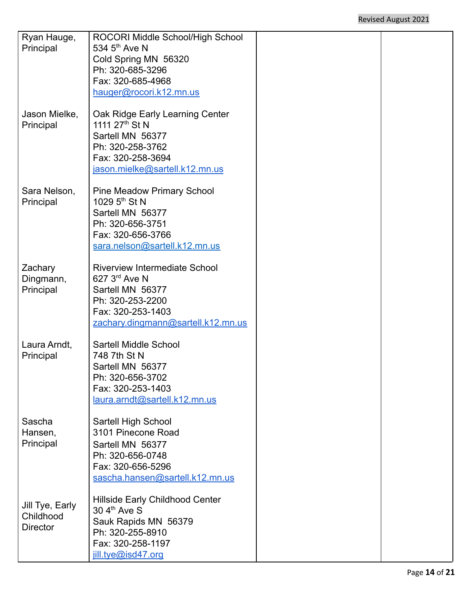| Ryan Hauge,     | ROCORI Middle School/High School                            |  |
|-----------------|-------------------------------------------------------------|--|
| Principal       | 534 $5th$ Ave N                                             |  |
|                 | Cold Spring MN 56320<br>Ph: 320-685-3296                    |  |
|                 | Fax: 320-685-4968                                           |  |
|                 | hauger@rocori.k12.mn.us                                     |  |
|                 |                                                             |  |
| Jason Mielke,   | Oak Ridge Early Learning Center                             |  |
| Principal       | 1111 27 <sup>th</sup> St N                                  |  |
|                 | Sartell MN 56377                                            |  |
|                 | Ph: 320-258-3762                                            |  |
|                 | Fax: 320-258-3694<br>jason.mielke@sartell.k12.mn.us         |  |
|                 |                                                             |  |
| Sara Nelson,    | <b>Pine Meadow Primary School</b>                           |  |
| Principal       | 1029 $5th$ St N                                             |  |
|                 | Sartell MN 56377                                            |  |
|                 | Ph: 320-656-3751                                            |  |
|                 | Fax: 320-656-3766                                           |  |
|                 | sara.nelson@sartell.k12.mn.us                               |  |
| Zachary         | <b>Riverview Intermediate School</b>                        |  |
| Dingmann,       | $627.3rd$ Ave N                                             |  |
| Principal       | Sartell MN 56377                                            |  |
|                 | Ph: 320-253-2200                                            |  |
|                 | Fax: 320-253-1403                                           |  |
|                 | zachary.dingmann@sartell.k12.mn.us                          |  |
| Laura Arndt,    | <b>Sartell Middle School</b>                                |  |
| Principal       | 748 7th St N                                                |  |
|                 | Sartell MN 56377                                            |  |
|                 | Ph: 320-656-3702                                            |  |
|                 | Fax: 320-253-1403                                           |  |
|                 | laura.arndt@sartell.k12.mn.us                               |  |
| Sascha          | Sartell High School                                         |  |
| Hansen,         | 3101 Pinecone Road                                          |  |
| Principal       | Sartell MN 56377                                            |  |
|                 | Ph: 320-656-0748                                            |  |
|                 | Fax: 320-656-5296                                           |  |
|                 | sascha.hansen@sartell.k12.mn.us                             |  |
|                 |                                                             |  |
| Jill Tye, Early | Hillside Early Childhood Center<br>30 4 <sup>th</sup> Ave S |  |
| Childhood       | Sauk Rapids MN 56379                                        |  |
| <b>Director</b> | Ph: 320-255-8910                                            |  |
|                 | Fax: 320-258-1197                                           |  |
|                 | jill.tye@isd47.org                                          |  |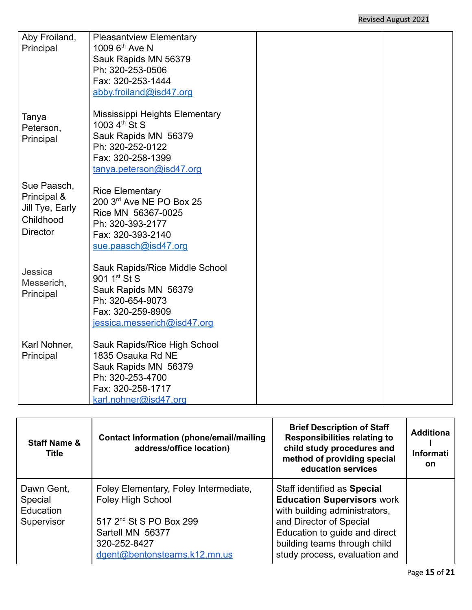| Aby Froiland,<br>Principal                                                    | <b>Pleasantview Elementary</b><br>1009 6 <sup>th</sup> Ave N<br>Sauk Rapids MN 56379<br>Ph: 320-253-0506<br>Fax: 320-253-1444<br>abby.froiland@isd47.org        |  |
|-------------------------------------------------------------------------------|-----------------------------------------------------------------------------------------------------------------------------------------------------------------|--|
| Tanya<br>Peterson,<br>Principal                                               | <b>Mississippi Heights Elementary</b><br>1003 4 <sup>th</sup> St S<br>Sauk Rapids MN 56379<br>Ph: 320-252-0122<br>Fax: 320-258-1399<br>tanya.peterson@isd47.org |  |
| Sue Paasch,<br>Principal &<br>Jill Tye, Early<br>Childhood<br><b>Director</b> | <b>Rice Elementary</b><br>200 3rd Ave NE PO Box 25<br>Rice MN 56367-0025<br>Ph: 320-393-2177<br>Fax: 320-393-2140<br>sue.paasch@isd47.org                       |  |
| Jessica<br>Messerich,<br>Principal                                            | Sauk Rapids/Rice Middle School<br>901 1 <sup>st</sup> St S<br>Sauk Rapids MN 56379<br>Ph: 320-654-9073<br>Fax: 320-259-8909<br>jessica.messerich@isd47.org      |  |
| Karl Nohner,<br>Principal                                                     | Sauk Rapids/Rice High School<br>1835 Osauka Rd NE<br>Sauk Rapids MN 56379<br>Ph: 320-253-4700<br>Fax: 320-258-1717<br>karl.nohner@isd47.org                     |  |

| <b>Staff Name &amp;</b><br><b>Title</b>          | <b>Contact Information (phone/email/mailing</b><br>address/office location)                                                                                                   | <b>Brief Description of Staff</b><br><b>Responsibilities relating to</b><br>child study procedures and<br>method of providing special<br>education services                                                                    | <b>Additiona</b><br><b>Informati</b><br><b>on</b> |
|--------------------------------------------------|-------------------------------------------------------------------------------------------------------------------------------------------------------------------------------|--------------------------------------------------------------------------------------------------------------------------------------------------------------------------------------------------------------------------------|---------------------------------------------------|
| Dawn Gent,<br>Special<br>Education<br>Supervisor | Foley Elementary, Foley Intermediate,<br><b>Foley High School</b><br>517 2 <sup>nd</sup> St S PO Box 299<br>Sartell MN 56377<br>320-252-8427<br>dgent@bentonstearns.k12.mn.us | Staff identified as Special<br><b>Education Supervisors work</b><br>with building administrators,<br>and Director of Special<br>Education to guide and direct<br>building teams through child<br>study process, evaluation and |                                                   |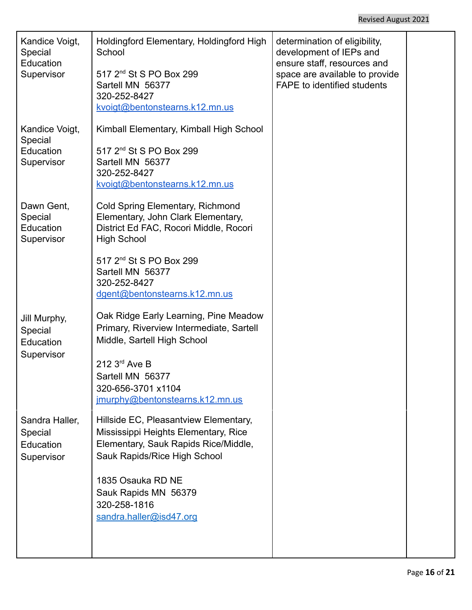| Kandice Voigt,<br>Special<br>Education<br>Supervisor | Holdingford Elementary, Holdingford High<br>School<br>517 2 <sup>nd</sup> St S PO Box 299<br>Sartell MN 56377<br>320-252-8427<br>kvoigt@bentonstearns.k12.mn.us | determination of eligibility,<br>development of IEPs and<br>ensure staff, resources and<br>space are available to provide<br><b>FAPE to identified students</b> |  |
|------------------------------------------------------|-----------------------------------------------------------------------------------------------------------------------------------------------------------------|-----------------------------------------------------------------------------------------------------------------------------------------------------------------|--|
| Kandice Voigt,<br>Special<br>Education<br>Supervisor | Kimball Elementary, Kimball High School<br>517 2 <sup>nd</sup> St S PO Box 299<br>Sartell MN 56377<br>320-252-8427<br>kvoigt@bentonstearns.k12.mn.us            |                                                                                                                                                                 |  |
| Dawn Gent,<br>Special<br>Education<br>Supervisor     | Cold Spring Elementary, Richmond<br>Elementary, John Clark Elementary,<br>District Ed FAC, Rocori Middle, Rocori<br><b>High School</b>                          |                                                                                                                                                                 |  |
|                                                      | 517 2 <sup>nd</sup> St S PO Box 299<br>Sartell MN 56377<br>320-252-8427<br>dgent@bentonstearns.k12.mn.us                                                        |                                                                                                                                                                 |  |
| Jill Murphy,<br>Special<br>Education<br>Supervisor   | Oak Ridge Early Learning, Pine Meadow<br>Primary, Riverview Intermediate, Sartell<br>Middle, Sartell High School                                                |                                                                                                                                                                 |  |
|                                                      | 212 3rd Ave B<br>Sartell MN 56377<br>320-656-3701 x1104<br>jmurphy@bentonstearns.k12.mn.us                                                                      |                                                                                                                                                                 |  |
| Sandra Haller,<br>Special<br>Education<br>Supervisor | Hillside EC, Pleasantview Elementary,<br>Mississippi Heights Elementary, Rice<br>Elementary, Sauk Rapids Rice/Middle,<br>Sauk Rapids/Rice High School           |                                                                                                                                                                 |  |
|                                                      | 1835 Osauka RD NE<br>Sauk Rapids MN 56379<br>320-258-1816<br>sandra.haller@isd47.org                                                                            |                                                                                                                                                                 |  |
|                                                      |                                                                                                                                                                 |                                                                                                                                                                 |  |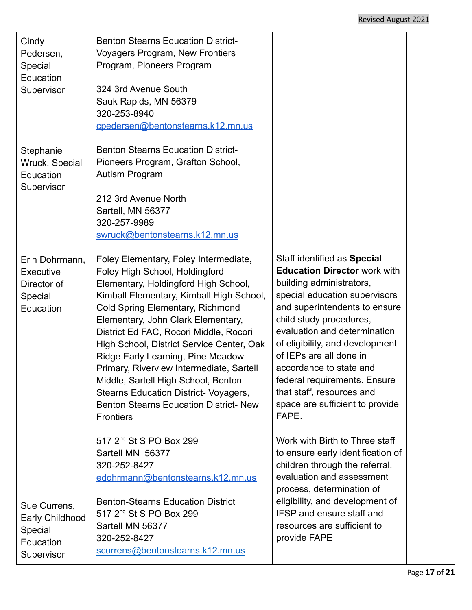## Revised August 2021

| Cindy<br>Pedersen,<br>Special<br>Education<br>Supervisor              | <b>Benton Stearns Education District-</b><br><b>Voyagers Program, New Frontiers</b><br>Program, Pioneers Program<br>324 3rd Avenue South<br>Sauk Rapids, MN 56379<br>320-253-8940<br>cpedersen@bentonstearns.k12.mn.us                                                                                                                                                                                                                                                                                                                                                    |                                                                                                                                                                                                                                                                                                                                                                                                                               |
|-----------------------------------------------------------------------|---------------------------------------------------------------------------------------------------------------------------------------------------------------------------------------------------------------------------------------------------------------------------------------------------------------------------------------------------------------------------------------------------------------------------------------------------------------------------------------------------------------------------------------------------------------------------|-------------------------------------------------------------------------------------------------------------------------------------------------------------------------------------------------------------------------------------------------------------------------------------------------------------------------------------------------------------------------------------------------------------------------------|
| Stephanie<br>Wruck, Special<br>Education<br>Supervisor                | <b>Benton Stearns Education District-</b><br>Pioneers Program, Grafton School,<br>Autism Program<br>212 3rd Avenue North<br>Sartell, MN 56377<br>320-257-9989<br>swruck@bentonstearns.k12.mn.us                                                                                                                                                                                                                                                                                                                                                                           |                                                                                                                                                                                                                                                                                                                                                                                                                               |
| Erin Dohrmann,<br>Executive<br>Director of<br>Special<br>Education    | Foley Elementary, Foley Intermediate,<br>Foley High School, Holdingford<br>Elementary, Holdingford High School,<br>Kimball Elementary, Kimball High School,<br>Cold Spring Elementary, Richmond<br>Elementary, John Clark Elementary,<br>District Ed FAC, Rocori Middle, Rocori<br>High School, District Service Center, Oak<br>Ridge Early Learning, Pine Meadow<br>Primary, Riverview Intermediate, Sartell<br>Middle, Sartell High School, Benton<br><b>Stearns Education District- Voyagers,</b><br><b>Benton Stearns Education District- New</b><br><b>Frontiers</b> | Staff identified as Special<br><b>Education Director work with</b><br>building administrators,<br>special education supervisors<br>and superintendents to ensure<br>child study procedures,<br>evaluation and determination<br>of eligibility, and development<br>of IEPs are all done in<br>accordance to state and<br>federal requirements. Ensure<br>that staff, resources and<br>space are sufficient to provide<br>FAPE. |
| Sue Currens,<br>Early Childhood<br>Special<br>Education<br>Supervisor | 517 2 <sup>nd</sup> St S PO Box 299<br>Sartell MN 56377<br>320-252-8427<br>edohrmann@bentonstearns.k12.mn.us<br><b>Benton-Stearns Education District</b><br>517 2 <sup>nd</sup> St S PO Box 299<br>Sartell MN 56377<br>320-252-8427<br>scurrens@bentonstearns.k12.mn.us                                                                                                                                                                                                                                                                                                   | Work with Birth to Three staff<br>to ensure early identification of<br>children through the referral,<br>evaluation and assessment<br>process, determination of<br>eligibility, and development of<br>IFSP and ensure staff and<br>resources are sufficient to<br>provide FAPE                                                                                                                                                |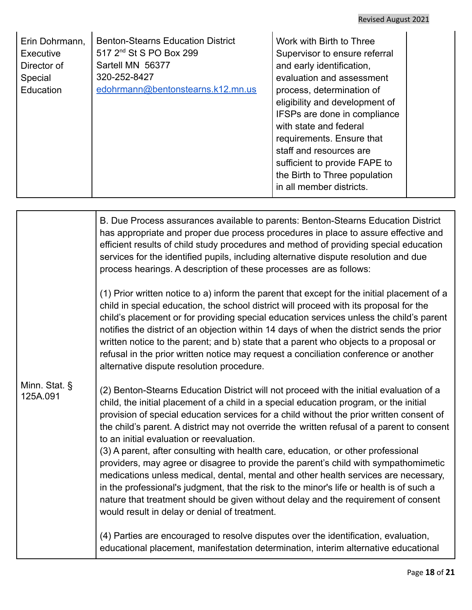| Erin Dohrmann,<br>Executive<br>Director of<br>Special<br>Education | <b>Benton-Stearns Education District</b><br>517 2 <sup>nd</sup> St S PO Box 299<br>Sartell MN 56377<br>320-252-8427<br>edohrmann@bentonstearns.k12.mn.us | Work with Birth to Three<br>Supervisor to ensure referral<br>and early identification,<br>evaluation and assessment<br>process, determination of<br>eligibility and development of<br>IFSPs are done in compliance<br>with state and federal<br>requirements. Ensure that<br>staff and resources are<br>sufficient to provide FAPE to<br>the Birth to Three population<br>in all member districts. |  |
|--------------------------------------------------------------------|----------------------------------------------------------------------------------------------------------------------------------------------------------|----------------------------------------------------------------------------------------------------------------------------------------------------------------------------------------------------------------------------------------------------------------------------------------------------------------------------------------------------------------------------------------------------|--|
|--------------------------------------------------------------------|----------------------------------------------------------------------------------------------------------------------------------------------------------|----------------------------------------------------------------------------------------------------------------------------------------------------------------------------------------------------------------------------------------------------------------------------------------------------------------------------------------------------------------------------------------------------|--|

|                           | B. Due Process assurances available to parents: Benton-Stearns Education District<br>has appropriate and proper due process procedures in place to assure effective and<br>efficient results of child study procedures and method of providing special education<br>services for the identified pupils, including alternative dispute resolution and due<br>process hearings. A description of these processes are as follows:                                                                                                                                                                                                                                                                                                                                                                                                                                                                                                 |
|---------------------------|--------------------------------------------------------------------------------------------------------------------------------------------------------------------------------------------------------------------------------------------------------------------------------------------------------------------------------------------------------------------------------------------------------------------------------------------------------------------------------------------------------------------------------------------------------------------------------------------------------------------------------------------------------------------------------------------------------------------------------------------------------------------------------------------------------------------------------------------------------------------------------------------------------------------------------|
|                           | (1) Prior written notice to a) inform the parent that except for the initial placement of a<br>child in special education, the school district will proceed with its proposal for the<br>child's placement or for providing special education services unless the child's parent<br>notifies the district of an objection within 14 days of when the district sends the prior<br>written notice to the parent; and b) state that a parent who objects to a proposal or<br>refusal in the prior written notice may request a conciliation conference or another<br>alternative dispute resolution procedure.                                                                                                                                                                                                                                                                                                                    |
| Minn. Stat. §<br>125A.091 | (2) Benton-Stearns Education District will not proceed with the initial evaluation of a<br>child, the initial placement of a child in a special education program, or the initial<br>provision of special education services for a child without the prior written consent of<br>the child's parent. A district may not override the written refusal of a parent to consent<br>to an initial evaluation or reevaluation.<br>(3) A parent, after consulting with health care, education, or other professional<br>providers, may agree or disagree to provide the parent's child with sympathomimetic<br>medications unless medical, dental, mental and other health services are necessary,<br>in the professional's judgment, that the risk to the minor's life or health is of such a<br>nature that treatment should be given without delay and the requirement of consent<br>would result in delay or denial of treatment. |
|                           | (4) Parties are encouraged to resolve disputes over the identification, evaluation,<br>educational placement, manifestation determination, interim alternative educational                                                                                                                                                                                                                                                                                                                                                                                                                                                                                                                                                                                                                                                                                                                                                     |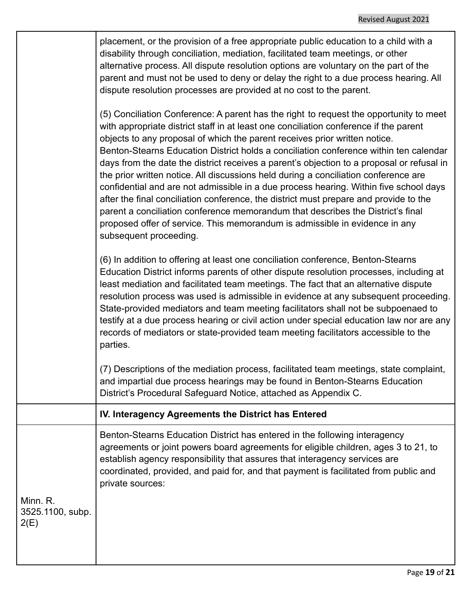|                                      | placement, or the provision of a free appropriate public education to a child with a<br>disability through conciliation, mediation, facilitated team meetings, or other<br>alternative process. All dispute resolution options are voluntary on the part of the<br>parent and must not be used to deny or delay the right to a due process hearing. All<br>dispute resolution processes are provided at no cost to the parent.                                                                                                                                                                                                                                                                                                                                                                                                                                                                                           |
|--------------------------------------|--------------------------------------------------------------------------------------------------------------------------------------------------------------------------------------------------------------------------------------------------------------------------------------------------------------------------------------------------------------------------------------------------------------------------------------------------------------------------------------------------------------------------------------------------------------------------------------------------------------------------------------------------------------------------------------------------------------------------------------------------------------------------------------------------------------------------------------------------------------------------------------------------------------------------|
|                                      | (5) Conciliation Conference: A parent has the right to request the opportunity to meet<br>with appropriate district staff in at least one conciliation conference if the parent<br>objects to any proposal of which the parent receives prior written notice.<br>Benton-Stearns Education District holds a conciliation conference within ten calendar<br>days from the date the district receives a parent's objection to a proposal or refusal in<br>the prior written notice. All discussions held during a conciliation conference are<br>confidential and are not admissible in a due process hearing. Within five school days<br>after the final conciliation conference, the district must prepare and provide to the<br>parent a conciliation conference memorandum that describes the District's final<br>proposed offer of service. This memorandum is admissible in evidence in any<br>subsequent proceeding. |
|                                      | (6) In addition to offering at least one conciliation conference, Benton-Stearns<br>Education District informs parents of other dispute resolution processes, including at<br>least mediation and facilitated team meetings. The fact that an alternative dispute<br>resolution process was used is admissible in evidence at any subsequent proceeding.<br>State-provided mediators and team meeting facilitators shall not be subpoenaed to<br>testify at a due process hearing or civil action under special education law nor are any<br>records of mediators or state-provided team meeting facilitators accessible to the<br>parties.                                                                                                                                                                                                                                                                              |
|                                      | (7) Descriptions of the mediation process, facilitated team meetings, state complaint,<br>and impartial due process hearings may be found in Benton-Stearns Education<br>District's Procedural Safeguard Notice, attached as Appendix C.                                                                                                                                                                                                                                                                                                                                                                                                                                                                                                                                                                                                                                                                                 |
|                                      | IV. Interagency Agreements the District has Entered                                                                                                                                                                                                                                                                                                                                                                                                                                                                                                                                                                                                                                                                                                                                                                                                                                                                      |
|                                      | Benton-Stearns Education District has entered in the following interagency<br>agreements or joint powers board agreements for eligible children, ages 3 to 21, to<br>establish agency responsibility that assures that interagency services are<br>coordinated, provided, and paid for, and that payment is facilitated from public and<br>private sources:                                                                                                                                                                                                                                                                                                                                                                                                                                                                                                                                                              |
| Minn. R.<br>3525.1100, subp.<br>2(E) |                                                                                                                                                                                                                                                                                                                                                                                                                                                                                                                                                                                                                                                                                                                                                                                                                                                                                                                          |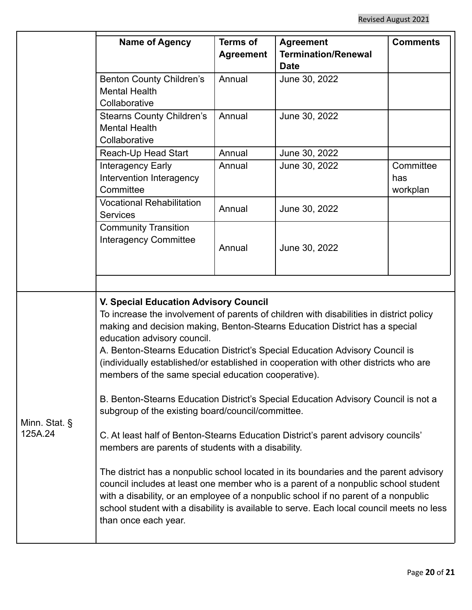|                          | <b>Name of Agency</b>                                                                                                                                                                                                                                                                                                                                                                                                                                                                                                                                                                                                                                                                                                                                                                                                                                                                                                                                                                                                                                                                                                                                                | <b>Terms of</b><br><b>Agreement</b> | <b>Agreement</b><br><b>Termination/Renewal</b> | <b>Comments</b>              |
|--------------------------|----------------------------------------------------------------------------------------------------------------------------------------------------------------------------------------------------------------------------------------------------------------------------------------------------------------------------------------------------------------------------------------------------------------------------------------------------------------------------------------------------------------------------------------------------------------------------------------------------------------------------------------------------------------------------------------------------------------------------------------------------------------------------------------------------------------------------------------------------------------------------------------------------------------------------------------------------------------------------------------------------------------------------------------------------------------------------------------------------------------------------------------------------------------------|-------------------------------------|------------------------------------------------|------------------------------|
|                          | <b>Benton County Children's</b><br><b>Mental Health</b><br>Collaborative                                                                                                                                                                                                                                                                                                                                                                                                                                                                                                                                                                                                                                                                                                                                                                                                                                                                                                                                                                                                                                                                                             | Annual                              | <b>Date</b><br>June 30, 2022                   |                              |
|                          | <b>Stearns County Children's</b><br><b>Mental Health</b><br>Collaborative                                                                                                                                                                                                                                                                                                                                                                                                                                                                                                                                                                                                                                                                                                                                                                                                                                                                                                                                                                                                                                                                                            | Annual                              | June 30, 2022                                  |                              |
|                          | Reach-Up Head Start<br>Interagency Early<br>Intervention Interagency<br>Committee                                                                                                                                                                                                                                                                                                                                                                                                                                                                                                                                                                                                                                                                                                                                                                                                                                                                                                                                                                                                                                                                                    | Annual<br>Annual                    | June 30, 2022<br>June 30, 2022                 | Committee<br>has<br>workplan |
|                          | <b>Vocational Rehabilitation</b><br><b>Services</b>                                                                                                                                                                                                                                                                                                                                                                                                                                                                                                                                                                                                                                                                                                                                                                                                                                                                                                                                                                                                                                                                                                                  | Annual                              | June 30, 2022                                  |                              |
|                          | <b>Community Transition</b><br><b>Interagency Committee</b>                                                                                                                                                                                                                                                                                                                                                                                                                                                                                                                                                                                                                                                                                                                                                                                                                                                                                                                                                                                                                                                                                                          | Annual                              | June 30, 2022                                  |                              |
| Minn. Stat. §<br>125A.24 | <b>V. Special Education Advisory Council</b><br>To increase the involvement of parents of children with disabilities in district policy<br>making and decision making, Benton-Stearns Education District has a special<br>education advisory council.<br>A. Benton-Stearns Education District's Special Education Advisory Council is<br>(individually established/or established in cooperation with other districts who are<br>members of the same special education cooperative).<br>B. Benton-Stearns Education District's Special Education Advisory Council is not a<br>subgroup of the existing board/council/committee.<br>C. At least half of Benton-Stearns Education District's parent advisory councils'<br>members are parents of students with a disability.<br>The district has a nonpublic school located in its boundaries and the parent advisory<br>council includes at least one member who is a parent of a nonpublic school student<br>with a disability, or an employee of a nonpublic school if no parent of a nonpublic<br>school student with a disability is available to serve. Each local council meets no less<br>than once each year. |                                     |                                                |                              |